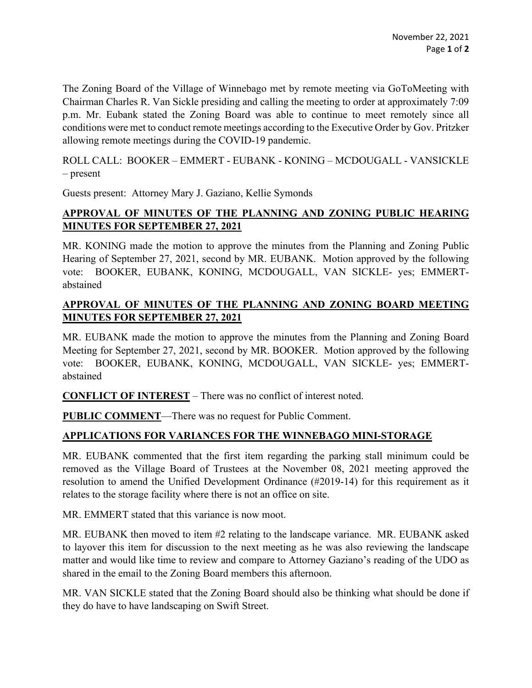The Zoning Board of the Village of Winnebago met by remote meeting via GoToMeeting with Chairman Charles R. Van Sickle presiding and calling the meeting to order at approximately 7:09 p.m. Mr. Eubank stated the Zoning Board was able to continue to meet remotely since all conditions were met to conduct remote meetings according to the Executive Order by Gov. Pritzker allowing remote meetings during the COVID-19 pandemic.

ROLL CALL: BOOKER – EMMERT - EUBANK - KONING – MCDOUGALL - VANSICKLE – present

Guests present: Attorney Mary J. Gaziano, Kellie Symonds

## **APPROVAL OF MINUTES OF THE PLANNING AND ZONING PUBLIC HEARING MINUTES FOR SEPTEMBER 27, 2021**

MR. KONING made the motion to approve the minutes from the Planning and Zoning Public Hearing of September 27, 2021, second by MR. EUBANK. Motion approved by the following vote: BOOKER, EUBANK, KONING, MCDOUGALL, VAN SICKLE- yes; EMMERTabstained

## **APPROVAL OF MINUTES OF THE PLANNING AND ZONING BOARD MEETING MINUTES FOR SEPTEMBER 27, 2021**

MR. EUBANK made the motion to approve the minutes from the Planning and Zoning Board Meeting for September 27, 2021, second by MR. BOOKER. Motion approved by the following vote: BOOKER, EUBANK, KONING, MCDOUGALL, VAN SICKLE- yes; EMMERTabstained

**CONFLICT OF INTEREST** – There was no conflict of interest noted.

**PUBLIC COMMENT**—There was no request for Public Comment.

## **APPLICATIONS FOR VARIANCES FOR THE WINNEBAGO MINI-STORAGE**

MR. EUBANK commented that the first item regarding the parking stall minimum could be removed as the Village Board of Trustees at the November 08, 2021 meeting approved the resolution to amend the Unified Development Ordinance (#2019-14) for this requirement as it relates to the storage facility where there is not an office on site.

MR. EMMERT stated that this variance is now moot.

MR. EUBANK then moved to item #2 relating to the landscape variance. MR. EUBANK asked to layover this item for discussion to the next meeting as he was also reviewing the landscape matter and would like time to review and compare to Attorney Gaziano's reading of the UDO as shared in the email to the Zoning Board members this afternoon.

MR. VAN SICKLE stated that the Zoning Board should also be thinking what should be done if they do have to have landscaping on Swift Street.